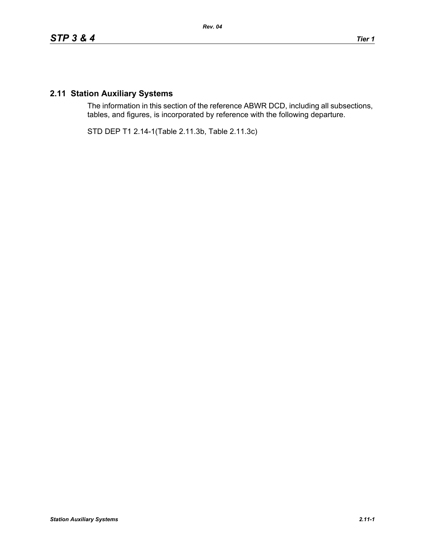## **2.11 Station Auxiliary Systems**

The information in this section of the reference ABWR DCD, including all subsections, tables, and figures, is incorporated by reference with the following departure.

STD DEP T1 2.14-1(Table 2.11.3b, Table 2.11.3c)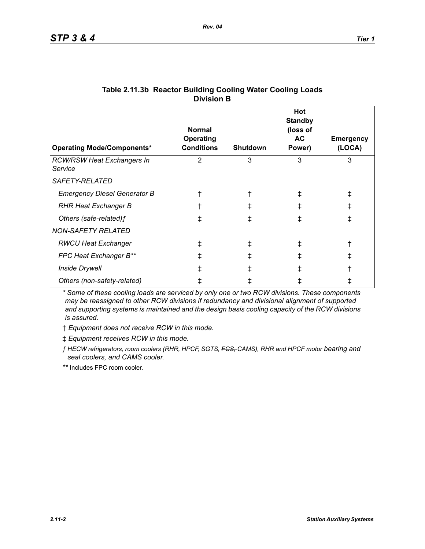| <b>Operating Mode/Components*</b>            | <b>Normal</b><br>Operating<br><b>Conditions</b> | <b>Shutdown</b> | Hot<br><b>Standby</b><br>(loss of<br>AC.<br>Power) | <b>Emergency</b><br>(LOCA) |
|----------------------------------------------|-------------------------------------------------|-----------------|----------------------------------------------------|----------------------------|
| <b>RCW/RSW Heat Exchangers In</b><br>Service | 2                                               | 3               | 3                                                  | 3                          |
| SAFETY-RELATED                               |                                                 |                 |                                                    |                            |
| <b>Emergency Diesel Generator B</b>          |                                                 |                 |                                                    | ŧ                          |
| <b>RHR Heat Exchanger B</b>                  |                                                 |                 | ∓                                                  | ŧ                          |
| Others (safe-related) f                      | ŧ                                               |                 |                                                    | ŧ                          |
| <b>NON-SAFETY RELATED</b>                    |                                                 |                 |                                                    |                            |
| <b>RWCU Heat Exchanger</b>                   | ŧ                                               | I.              | ∓                                                  |                            |
| FPC Heat Exchanger B**                       | ŧ                                               |                 |                                                    | ŧ                          |
| <b>Inside Drywell</b>                        |                                                 |                 |                                                    |                            |
| Others (non-safety-related)                  |                                                 |                 |                                                    |                            |

## **Table 2.11.3b Reactor Building Cooling Water Cooling Loads Division B**

*\* Some of these cooling loads are serviced by only one or two RCW divisions. These components may be reassigned to other RCW divisions if redundancy and divisional alignment of supported and supporting systems is maintained and the design basis cooling capacity of the RCW divisions is assured.*

† *Equipment does not receive RCW in this mode.*

‡ *Equipment receives RCW in this mode.*

*ƒ HECW refrigerators, room coolers (RHR, HPCF, SGTS, FCS, CAMS), RHR and HPCF motor bearing and seal coolers, and CAMS cooler.*

*\*\** Includes FPC room cooler.